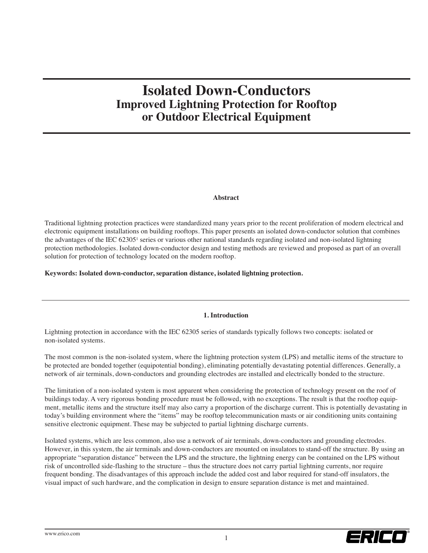# **Isolated Down-Conductors Improved Lightning Protection for Rooftop or Outdoor Electrical Equipment**

## **Abstract**

Traditional lightning protection practices were standardized many years prior to the recent proliferation of modern electrical and electronic equipment installations on building rooftops. This paper presents an isolated down-conductor solution that combines the advantages of the IEC 623051 series or various other national standards regarding isolated and non-isolated lightning protection methodologies. Isolated down-conductor design and testing methods are reviewed and proposed as part of an overall solution for protection of technology located on the modern rooftop.

**Keywords: Isolated down-conductor, separation distance, isolated lightning protection.**

## **1. Introduction**

Lightning protection in accordance with the IEC 62305 series of standards typically follows two concepts: isolated or non-isolated systems.

The most common is the non-isolated system, where the lightning protection system (LPS) and metallic items of the structure to be protected are bonded together (equipotential bonding), eliminating potentially devastating potential differences. Generally, a network of air terminals, down-conductors and grounding electrodes are installed and electrically bonded to the structure.

The limitation of a non-isolated system is most apparent when considering the protection of technology present on the roof of buildings today. A very rigorous bonding procedure must be followed, with no exceptions. The result is that the rooftop equipment, metallic items and the structure itself may also carry a proportion of the discharge current. This is potentially devastating in today's building environment where the "items" may be rooftop telecommunication masts or air conditioning units containing sensitive electronic equipment. These may be subjected to partial lightning discharge currents.

Isolated systems, which are less common, also use a network of air terminals, down-conductors and grounding electrodes. However, in this system, the air terminals and down-conductors are mounted on insulators to stand-off the structure. By using an appropriate "separation distance" between the LPS and the structure, the lightning energy can be contained on the LPS without risk of uncontrolled side-flashing to the structure – thus the structure does not carry partial lightning currents, nor require frequent bonding. The disadvantages of this approach include the added cost and labor required for stand-off insulators, the visual impact of such hardware, and the complication in design to ensure separation distance is met and maintained.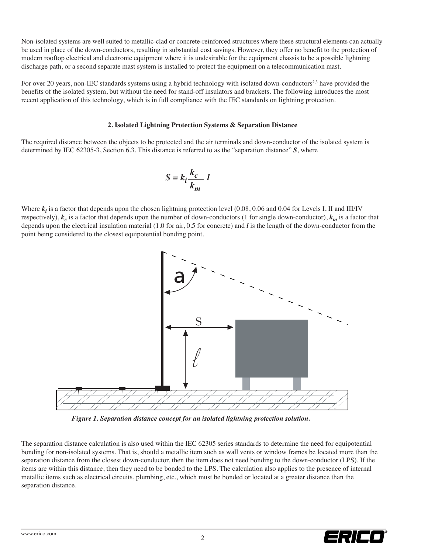Non-isolated systems are well suited to metallic-clad or concrete-reinforced structures where these structural elements can actually be used in place of the down-conductors, resulting in substantial cost savings. However, they offer no benefit to the protection of modern rooftop electrical and electronic equipment where it is undesirable for the equipment chassis to be a possible lightning discharge path, or a second separate mast system is installed to protect the equipment on a telecommunication mast.

For over 20 years, non-IEC standards systems using a hybrid technology with isolated down-conductors<sup>2,3</sup> have provided the benefits of the isolated system, but without the need for stand-off insulators and brackets. The following introduces the most recent application of this technology, which is in full compliance with the IEC standards on lightning protection.

## **2. Isolated Lightning Protection Systems & Separation Distance**

The required distance between the objects to be protected and the air terminals and down-conductor of the isolated system is determined by IEC 62305-3, Section 6.3. This distance is referred to as the "separation distance" *S*, where

$$
S = k_i \frac{k_c}{k_m} l
$$

Where  $k_i$  is a factor that depends upon the chosen lightning protection level  $(0.08, 0.06$  and  $0.04$  for Levels I, II and III/IV respectively),  $k_c$  is a factor that depends upon the number of down-conductors (1 for single down-conductor),  $k_m$  is a factor that depends upon the electrical insulation material (1.0 for air, 0.5 for concrete) and *l* is the length of the down-conductor from the point being considered to the closest equipotential bonding point.



*Figure 1. Separation distance concept for an isolated lightning protection solution.*

The separation distance calculation is also used within the IEC 62305 series standards to determine the need for equipotential bonding for non-isolated systems. That is, should a metallic item such as wall vents or window frames be located more than the separation distance from the closest down-conductor, then the item does not need bonding to the down-conductor (LPS). If the items are within this distance, then they need to be bonded to the LPS. The calculation also applies to the presence of internal metallic items such as electrical circuits, plumbing, etc., which must be bonded or located at a greater distance than the separation distance.

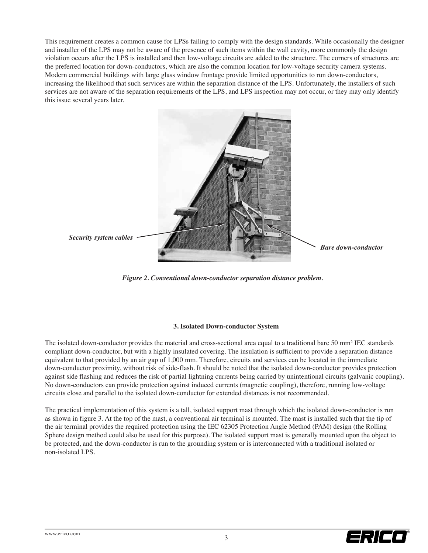This requirement creates a common cause for LPSs failing to comply with the design standards. While occasionally the designer and installer of the LPS may not be aware of the presence of such items within the wall cavity, more commonly the design violation occurs after the LPS is installed and then low-voltage circuits are added to the structure. The corners of structures are the preferred location for down-conductors, which are also the common location for low-voltage security camera systems. Modern commercial buildings with large glass window frontage provide limited opportunities to run down-conductors, increasing the likelihood that such services are within the separation distance of the LPS. Unfortunately, the installers of such services are not aware of the separation requirements of the LPS, and LPS inspection may not occur, or they may only identify this issue several years later.



*Figure 2. Conventional down-conductor separation distance problem.*

## **3. Isolated Down-conductor System**

The isolated down-conductor provides the material and cross-sectional area equal to a traditional bare 50 mm<sup>2</sup> IEC standards compliant down-conductor, but with a highly insulated covering. The insulation is sufficient to provide a separation distance equivalent to that provided by an air gap of 1,000 mm. Therefore, circuits and services can be located in the immediate down-conductor proximity, without risk of side-flash. It should be noted that the isolated down-conductor provides protection against side flashing and reduces the risk of partial lightning currents being carried by unintentional circuits (galvanic coupling). No down-conductors can provide protection against induced currents (magnetic coupling), therefore, running low-voltage circuits close and parallel to the isolated down-conductor for extended distances is not recommended.

The practical implementation of this system is a tall, isolated support mast through which the isolated down-conductor is run as shown in figure 3. At the top of the mast, a conventional air terminal is mounted. The mast is installed such that the tip of the air terminal provides the required protection using the IEC 62305 Protection Angle Method (PAM) design (the Rolling Sphere design method could also be used for this purpose). The isolated support mast is generally mounted upon the object to be protected, and the down-conductor is run to the grounding system or is interconnected with a traditional isolated or non-isolated LPS.

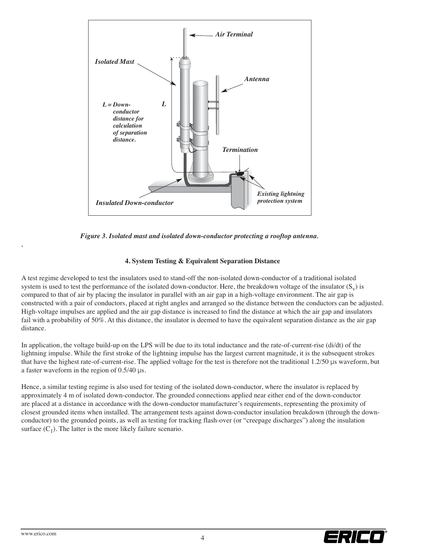

*Figure 3. Isolated mast and isolated down-conductor protecting a rooftop antenna.*

## **4. System Testing & Equivalent Separation Distance**

A test regime developed to test the insulators used to stand-off the non-isolated down-conductor of a traditional isolated system is used to test the performance of the isolated down-conductor. Here, the breakdown voltage of the insulator  $(S_v)$  is compared to that of air by placing the insulator in parallel with an air gap in a high-voltage environment. The air gap is constructed with a pair of conductors, placed at right angles and arranged so the distance between the conductors can be adjusted. High-voltage impulses are applied and the air gap distance is increased to find the distance at which the air gap and insulators fail with a probability of 50%. At this distance, the insulator is deemed to have the equivalent separation distance as the air gap distance.

In application, the voltage build-up on the LPS will be due to its total inductance and the rate-of-current-rise (di/dt) of the lightning impulse. While the first stroke of the lightning impulse has the largest current magnitude, it is the subsequent strokes that have the highest rate-of-current-rise. The applied voltage for the test is therefore not the traditional 1.2/50 μs waveform, but a faster waveform in the region of 0.5/40 μs.

Hence, a similar testing regime is also used for testing of the isolated down-conductor, where the insulator is replaced by approximately 4 m of isolated down-conductor. The grounded connections applied near either end of the down-conductor are placed at a distance in accordance with the down-conductor manufacturer's requirements, representing the proximity of closest grounded items when installed. The arrangement tests against down-conductor insulation breakdown (through the downconductor) to the grounded points, as well as testing for tracking flash-over (or "creepage discharges") along the insulation surface  $(C_1)$ . The latter is the more likely failure scenario.



*.*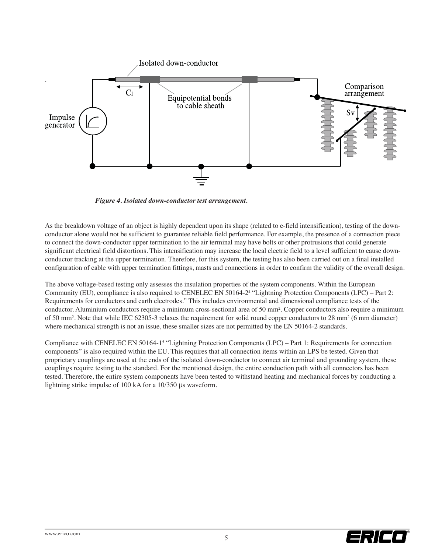

*Figure 4. Isolated down-conductor test arrangement.*

As the breakdown voltage of an object is highly dependent upon its shape (related to e-field intensification), testing of the downconductor alone would not be sufficient to guarantee reliable field performance. For example, the presence of a connection piece to connect the down-conductor upper termination to the air terminal may have bolts or other protrusions that could generate significant electrical field distortions. This intensification may increase the local electric field to a level sufficient to cause downconductor tracking at the upper termination. Therefore, for this system, the testing has also been carried out on a final installed configuration of cable with upper termination fittings, masts and connections in order to confirm the validity of the overall design.

The above voltage-based testing only assesses the insulation properties of the system components. Within the European Community (EU), compliance is also required to CENELEC EN 50164-24 "Lightning Protection Components (LPC) – Part 2: Requirements for conductors and earth electrodes." This includes environmental and dimensional compliance tests of the conductor. Aluminium conductors require a minimum cross-sectional area of 50 mm2. Copper conductors also require a minimum of 50 mm2. Note that while IEC 62305-3 relaxes the requirement for solid round copper conductors to 28 mm2 (6 mm diameter) where mechanical strength is not an issue, these smaller sizes are not permitted by the EN 50164-2 standards.

Compliance with CENELEC EN 50164-15 "Lightning Protection Components (LPC) – Part 1: Requirements for connection components" is also required within the EU. This requires that all connection items within an LPS be tested. Given that proprietary couplings are used at the ends of the isolated down-conductor to connect air terminal and grounding system, these couplings require testing to the standard. For the mentioned design, the entire conduction path with all connectors has been tested. Therefore, the entire system components have been tested to withstand heating and mechanical forces by conducting a lightning strike impulse of 100 kA for a 10/350 μs waveform.

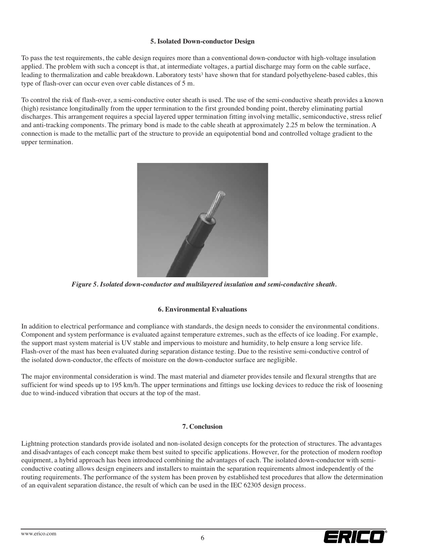## **5. Isolated Down-conductor Design**

To pass the test requirements, the cable design requires more than a conventional down-conductor with high-voltage insulation applied. The problem with such a concept is that, at intermediate voltages, a partial discharge may form on the cable surface, leading to thermalization and cable breakdown. Laboratory tests<sup>3</sup> have shown that for standard polyethyelene-based cables, this type of flash-over can occur even over cable distances of 5 m.

To control the risk of flash-over, a semi-conductive outer sheath is used. The use of the semi-conductive sheath provides a known (high) resistance longitudinally from the upper termination to the first grounded bonding point, thereby eliminating partial discharges. This arrangement requires a special layered upper termination fitting involving metallic, semiconductive, stress relief and anti-tracking components. The primary bond is made to the cable sheath at approximately 2.25 m below the termination. A connection is made to the metallic part of the structure to provide an equipotential bond and controlled voltage gradient to the upper termination.



*Figure 5. Isolated down-conductor and multilayered insulation and semi-conductive sheath.*

## **6. Environmental Evaluations**

In addition to electrical performance and compliance with standards, the design needs to consider the environmental conditions. Component and system performance is evaluated against temperature extremes, such as the effects of ice loading. For example, the support mast system material is UV stable and impervious to moisture and humidity, to help ensure a long service life. Flash-over of the mast has been evaluated during separation distance testing. Due to the resistive semi-conductive control of the isolated down-conductor, the effects of moisture on the down-conductor surface are negligible.

The major environmental consideration is wind. The mast material and diameter provides tensile and flexural strengths that are sufficient for wind speeds up to 195 km/h. The upper terminations and fittings use locking devices to reduce the risk of loosening due to wind-induced vibration that occurs at the top of the mast.

## **7. Conclusion**

Lightning protection standards provide isolated and non-isolated design concepts for the protection of structures. The advantages and disadvantages of each concept make them best suited to specific applications. However, for the protection of modern rooftop equipment, a hybrid approach has been introduced combining the advantages of each. The isolated down-conductor with semiconductive coating allows design engineers and installers to maintain the separation requirements almost independently of the routing requirements. The performance of the system has been proven by established test procedures that allow the determination of an equivalent separation distance, the result of which can be used in the IEC 62305 design process.

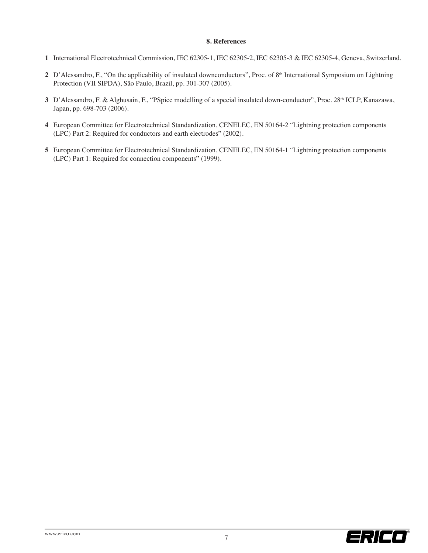#### **8. References**

- **1** International Electrotechnical Commission, IEC 62305-1, IEC 62305-2, IEC 62305-3 & IEC 62305-4, Geneva, Switzerland.
- **2** D'Alessandro, F., "On the applicability of insulated downconductors", Proc. of 8<sup>th</sup> International Symposium on Lightning Protection (VII SIPDA), São Paulo, Brazil, pp. 301-307 (2005).
- **3** D'Alessandro, F. & Alghusain, F., "PSpice modelling of a special insulated down-conductor", Proc. 28th ICLP, Kanazawa, Japan, pp. 698-703 (2006).
- **4** European Committee for Electrotechnical Standardization, CENELEC, EN 50164-2 "Lightning protection components (LPC) Part 2: Required for conductors and earth electrodes" (2002).
- **5** European Committee for Electrotechnical Standardization, CENELEC, EN 50164-1 "Lightning protection components (LPC) Part 1: Required for connection components" (1999).